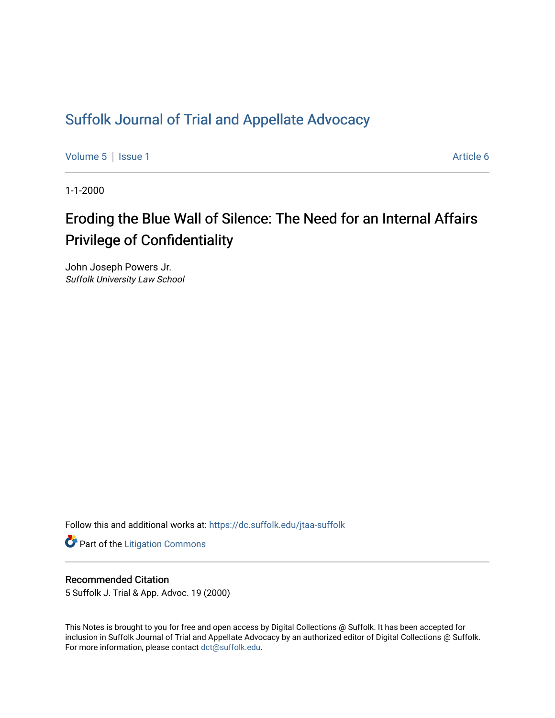## [Suffolk Journal of Trial and Appellate Advocacy](https://dc.suffolk.edu/jtaa-suffolk)

[Volume 5](https://dc.suffolk.edu/jtaa-suffolk/vol5) | [Issue 1](https://dc.suffolk.edu/jtaa-suffolk/vol5/iss1) Article 6

1-1-2000

# Eroding the Blue Wall of Silence: The Need for an Internal Affairs Privilege of Confidentiality

John Joseph Powers Jr. Suffolk University Law School

Follow this and additional works at: [https://dc.suffolk.edu/jtaa-suffolk](https://dc.suffolk.edu/jtaa-suffolk?utm_source=dc.suffolk.edu%2Fjtaa-suffolk%2Fvol5%2Fiss1%2F6&utm_medium=PDF&utm_campaign=PDFCoverPages) 

**Part of the [Litigation Commons](https://network.bepress.com/hgg/discipline/910?utm_source=dc.suffolk.edu%2Fjtaa-suffolk%2Fvol5%2Fiss1%2F6&utm_medium=PDF&utm_campaign=PDFCoverPages)** 

#### Recommended Citation

5 Suffolk J. Trial & App. Advoc. 19 (2000)

This Notes is brought to you for free and open access by Digital Collections @ Suffolk. It has been accepted for inclusion in Suffolk Journal of Trial and Appellate Advocacy by an authorized editor of Digital Collections @ Suffolk. For more information, please contact [dct@suffolk.edu](mailto:dct@suffolk.edu).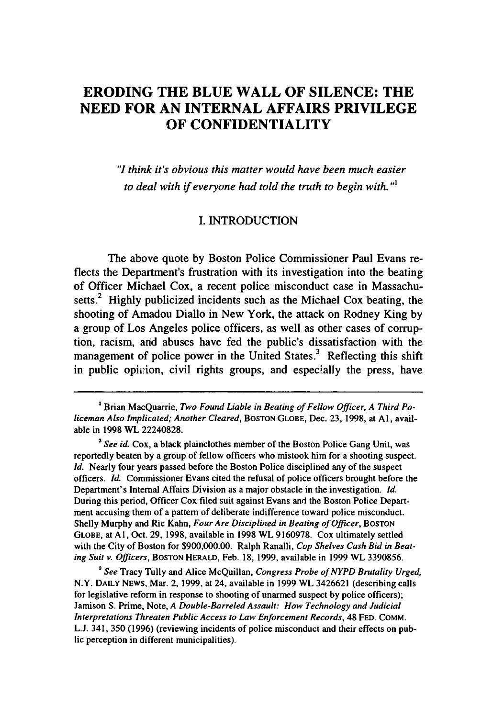### **ERODING THE BLUE WALL OF SILENCE: THE NEED FOR AN INTERNAL AFFAIRS PRIVILEGE OF CONFIDENTIALITY**

*"I think it's obvious this matter would have been much easier to deal with if everyone had told the truth to begin with."'*

#### I. INTRODUCTION

The above quote by Boston Police Commissioner Paul Evans reflects the Department's frustration with its investigation into the beating of Officer Michael Cox, a recent police misconduct case in Massachusetts.<sup>2</sup> Highly publicized incidents such as the Michael Cox beating, the shooting of Amadou Diallo in New York, the attack on Rodney King by a group of Los Angeles police officers, as well as other cases of corruption, racism, and abuses have fed the public's dissatisfaction with the management of police power in the United States. $3$  Reflecting this shift in public opinion, civil rights groups, and especially the press, have

*3 See* Tracy Tully and Alice McQuillan, *Congress Probe of NYPD Brutality Urged,* N.Y. **DAILY NEWS,** Mar. 2, 1999, at 24, available in 1999 WL 3426621 (describing calls for legislative reform in response to shooting of unarmed suspect by police officers); Jamison S. Prime, Note, *A Double-Barreled Assault: How Technology and Judicial Interpretations Threaten Public Access to Law Enforcement Records,* 48 **FED.** COMM. **L.J.** 341, 350 (1996) (reviewing incidents of police misconduct and their effects on public perception in different municipalities).

<sup>&#</sup>x27;Brian MacQuarrie, *Two Found Liable in Beating of Fellow Officer, A Third Policeman Also Implicated; Another Cleared,* **BOSTON GLOBE,** Dec. 23, 1998, at **Al,** available in 1998 WL 22240828.

<sup>&</sup>lt;sup>2</sup> See id. Cox, a black plainclothes member of the Boston Police Gang Unit, was reportedly beaten by a group of fellow officers who mistook him for a shooting suspect. *Id.* Nearly four years passed before the Boston Police disciplined any of the suspect officers. *Id.* Commissioner Evans cited the refusal of police officers brought before the Department's Internal Affairs Division as a major obstacle in the investigation. *Id.* During this period, Officer Cox filed suit against Evans and the Boston Police Department accusing them of a pattern of deliberate indifference toward police misconduct. Shelly Murphy and Ric Kahn, *Four Are Disciplined in Beating of Officer*, BOSTON **GLOBE,** at **AI,** Oct. 29, 1998, available in 1998 WL 9160978. Cox ultimately settled with the City of Boston for \$900,000.00. Ralph Ranalli, *Cop Shelves Cash Bid in Beating Suit v. Officers,* **BOSTON** HERALD, Feb. 18, 1999, available in 1999 WL 3390856.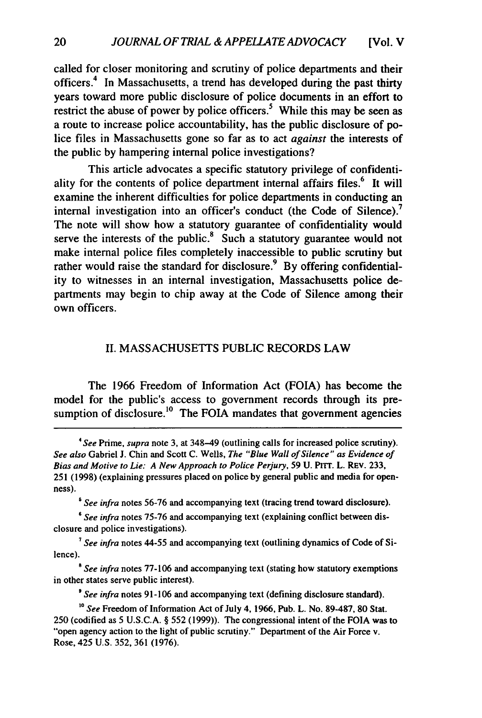called for closer monitoring and scrutiny of police departments and their officers.4 In Massachusetts, a trend has developed during the past thirty years toward more public disclosure of police documents in an effort to restrict the abuse of power by police officers.<sup>5</sup> While this may be seen as a route to increase police accountability, has the public disclosure of police files in Massachusetts gone so far as to act *against* the interests of the public by hampering internal police investigations?

This article advocates a specific statutory privilege of confidentiality for the contents of police department internal affairs files.<sup>6</sup> It will examine the inherent difficulties for police departments in conducting an internal investigation into an officer's conduct (the Code of Silence).<sup>7</sup> The note will show how a statutory guarantee of confidentiality would serve the interests of the public.<sup>8</sup> Such a statutory guarantee would not make internal police files completely inaccessible to public scrutiny but rather would raise the standard for disclosure.<sup>9</sup> By offering confidentiality to witnesses in an internal investigation, Massachusetts police departments may begin to chip away at the Code of Silence among their own officers.

#### II. MASSACHUSETTS PUBLIC RECORDS LAW

The 1966 Freedom of Information Act (FOIA) has become the model for the public's access to government records through its presumption of disclosure.<sup>10</sup> The FOIA mandates that government agencies

*7 See infra* notes 44-55 and accompanying text (outlining dynamics of Code of Silence).

**.** *See infra* notes 77-106 and accompanying text (stating how statutory exemptions in other states serve public interest).

*9 See infra* notes **91-106** and accompanying text (defining disclosure standard).

*<sup>4</sup>See* Prime, *supra* note 3, at 348-49 (outlining calls for increased police scrutiny). *See also* Gabriel **J.** Chin and Scott C. Wells, *The "Blue Wall of Silence" as Evidence of Bias and Motive to Lie: A New Approach to Police Perjury,* 59 U. PITT. L. REV. 233, 251 (1998) (explaining pressures placed on police by general public and media for openness).

<sup>&</sup>lt;sup>5</sup> See infra notes 56-76 and accompanying text (tracing trend toward disclosure).

*<sup>6</sup> See infra* notes **75-76** and accompanying text (explaining conflict between disclosure and police investigations).

*<sup>&#</sup>x27;0 See* Freedom of Information Act of July 4, 1966, Pub. L. No. **89-487, 80** Stat. **250** (codified as **5 U.S.C.A.** § 552 **(1999)).** The congressional intent of the **FOIA** was to "open agency action to the light of public scrutiny." Department of the Air Force v. Rose, 425 **U.S. 352, 361 (1976).**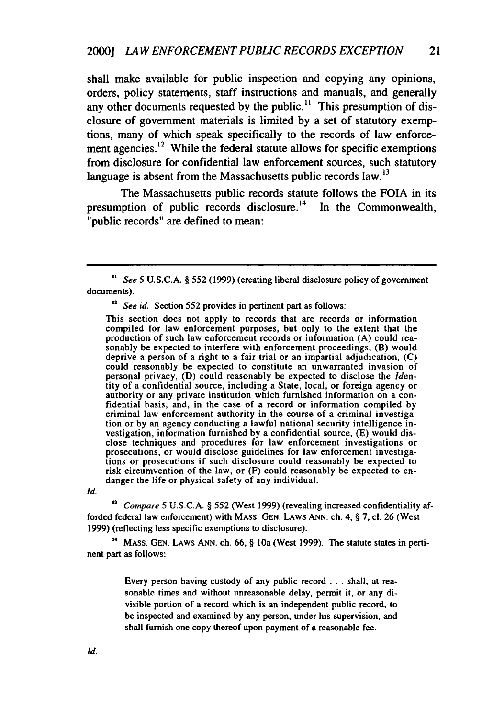shall make available for public inspection and copying any opinions, orders, policy statements, staff instructions and manuals, and generally any other documents requested by the public.<sup>11</sup> This presumption of disclosure of government materials is limited by a set of statutory exemptions, many of which speak specifically to the records of law enforcement agencies. $12$  While the federal statute allows for specific exemptions from disclosure for confidential law enforcement sources, such statutory language is absent from the Massachusetts public records law.<sup>13</sup>

The Massachusetts public records statute follows the FOIA in its presumption of public records disclosure.<sup>14</sup> In the Commonwealth, "public records" are defined to mean:

**<sup>12</sup>***See id.* Section 552 provides in pertinent part as follows:

This section does not apply to records that are records or information compiled for law enforcement purposes, but only to the extent that the production of such law enforcement records or information (A) could reasonably be expected to interfere with enforcement proceedings, (B) would deprive a person of a right to a fair trial or an impartial adjudication, (C) could reasonably be expected to constitute an unwarranted invasion of personal privacy, (D) could reasonably be expected to disclose the Identity of a confidential source, including a State, local, or foreign agency or authority or any private institution which furnished information on a confidential basis, and, in the case of a record or information compiled by criminal law enforcement authority in the course of a criminal investigation or by an agency conducting a lawful national security intelligence investigation, information furnished by a confidential source, (E) would disclose techniques and procedures for law enforcement investigations or prosecutions, or would disclose guidelines for law enforcement investigations or prosecutions if such disclosure could reasonably be expected to risk circumvention of the law, or (F) could reasonably be expected to endanger the life or physical safety of any individual.

*Id.*

*13 Compare* 5 U.S.C.A. § 552 (West 1999) (revealing increased confidentiality afforded federal law enforcement) with MASS. **GEN.** LAWS **ANN.** ch. 4, § 7, cl. 26 (West 1999) (reflecting less specific exemptions to disclosure).

**14** MASS. **GEN.** LAWS **ANN.** ch. 66, § 10a (West 1999). The statute states in pertinent part as follows:

> Every person having custody of any public record... shall, at reasonable times and without unreasonable delay, permit it, or any divisible portion of a record which is an independent public record, to be inspected and examined by any person, under his supervision, and shall furnish one copy thereof upon payment of a reasonable fee.

*<sup>&</sup>quot; See* 5 U.S.C.A. § 552 **(1999)** (creating liberal disclosure policy of government documents).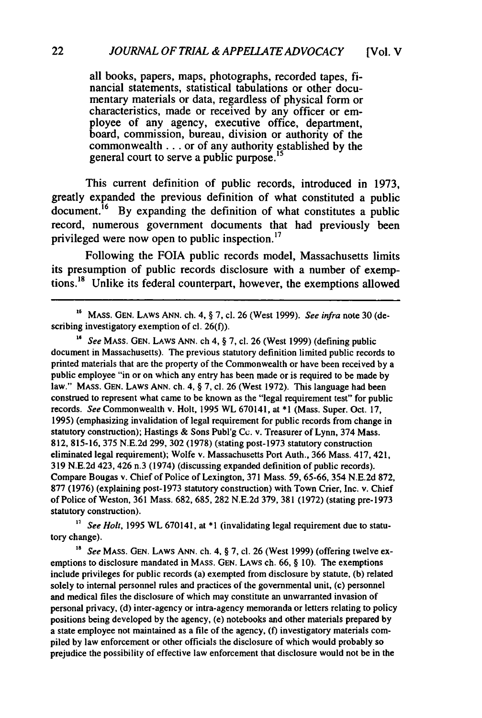all books, papers, maps, photographs, recorded tapes, **fi**nancial statements, statistical tabulations or other documentary materials or data, regardless of physical form or characteristics, made or received **by** any officer or employee of any agency, executive office, department, board, commission, bureau, division or authority of the commonwealth **...** or of any authority established **by** the general court to serve a public purpose.<sup>15</sup>

This current definition of public records, introduced in **1973,** greatly expanded the previous definition of what constituted a public  $\frac{1}{6}$  By expanding the definition of what constitutes a public record, numerous government documents that had previously been privileged were now open to public inspection.<sup>17</sup>

Following the **FOIA** public records model, Massachusetts limits its presumption of public records disclosure with a number of exemptions.'8 Unlike its federal counterpart, however, the exemptions allowed

*'6 See* MASS. **GEN.** LAWS ANN. ch 4, § 7, cl. 26 (West 1999) (defining public document in Massachusetts). The previous statutory definition limited public records to printed materials that are the property of the Commonwealth or have been received by a public employee "in or on which any entry has been made or is required to be made by law." MASS. GEN. LAWS ANN. ch. 4, § 7, cl. 26 (West 1972). This language had been construed to represent what came to be known as the "legal requirement test" for public records. *See* Commonwealth v. Holt, 1995 WL 670141, at \*1 (Mass. Super. Oct. 17, 1995) (emphasizing invalidation of legal requirement for public records from change in statutory construction); Hastings & Sons Publ'g Cc. v. Treasurer of Lynn, 374 Mass. 812, 815-16, 375 N.E.2d 299, 302 (1978) (stating post-1973 statutory construction eliminated legal requirement); Wolfe v. Massachusetts Port Auth., 366 Mass. 417, 421, 319 N.E.2d 423, 426 n.3 (1974) (discussing expanded definition of public records). Compare Bougas v. Chief of Police of Lexington, 371 Mass. 59, 65-66, 354 N.E.2d 872, 877 (1976) (explaining post-1973 statutory construction) with Town Crier, Inc. v. Chief of Police of Weston, 361 Mass. 682, 685, 282 N.E.2d 379, 381 (1972) (stating pre-1973 statutory construction).

<sup>17</sup> See Holt, 1995 WL 670141, at \*1 (invalidating legal requirement due to statutory change).

*'a See* MASS. GEN. LAWS **ANN.** ch. 4, § 7, **cl.** 26 (West 1999) (offering twelve exemptions to disclosure mandated in **MASS.** GEN. LAWS ch. 66, § 10). The exemptions include privileges for public records (a) exempted from disclosure by statute, (b) related solely to internal personnel rules and practices of the governmental unit, (c) personnel and medical files the disclosure of which may constitute an unwarranted invasion of personal privacy, (d) inter-agency or intra-agency memoranda or letters relating to policy positions being developed by the agency, (e) notebooks and other materials prepared by a state employee not maintained as a file of the agency, **(f)** investigatory materials compiled by law enforcement or other officials the disclosure of which would probably so prejudice the possibility of effective law enforcement that disclosure would not be in the

**<sup>&#</sup>x27;6 MASS.** GEN. LAWS ANN. ch. 4, § 7, cl. 26 (West 1999). *See infra* note **30** (describing investigatory exemption of cl. 26(f)).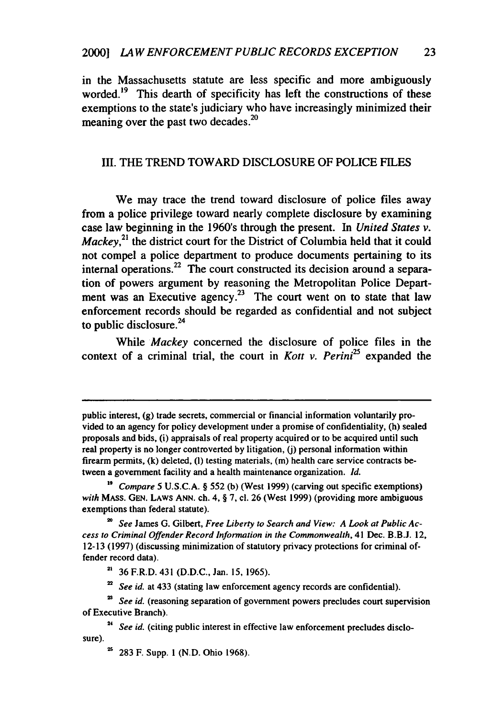in the Massachusetts statute are less specific and more ambiguously worded. $19$  This dearth of specificity has left the constructions of these exemptions to the state's judiciary who have increasingly minimized their meaning over the past two decades.<sup>20</sup>

#### III. THE TREND TOWARD **DISCLOSURE** OF **POLICE FILES**

We may trace the trend toward disclosure of police files away from a police privilege toward nearly complete disclosure by examining case law beginning in the 1960's through the present. In *United States v. Mackey*,<sup>21</sup> the district court for the District of Columbia held that it could not compel a police department to produce documents pertaining to its internal operations.<sup>22</sup> The court constructed its decision around a separation of powers argument by reasoning the Metropolitan Police Department was an Executive agency.<sup>23</sup> The court went on to state that law enforcement records should be regarded as confidential and not subject to public disclosure. $^{24}$ 

While *Mackey* concerned the disclosure of police files in the context of a criminal trial, the court in *Kott v. Perini<sup>25</sup>*expanded the

public interest, (g) trade secrets, commercial or financial information voluntarily provided to an agency for policy development under a promise of confidentiality, (h) sealed proposals and bids, (i) appraisals of real property acquired or to be acquired until such real property is no longer controverted by litigation, (j) personal information within firearm permits, (k) deleted, **(1)** testing materials, **(in)** health care service contracts between a government facility and a health maintenance organization. *Id.*

*<sup>&</sup>quot; Compare 5* U.S.C.A. § 552 (b) (West 1999) (carving out specific exemptions) *with* MASS. **GEN.** LAWS ANN. ch. 4, § 7, cl. 26 (West 1999) (providing more ambiguous exemptions than federal statute).

<sup>&</sup>lt;sup>20</sup> See James G. Gilbert, *Free Liberty to Search and View: A Look at Public Access to Criminal Offender Record Information in the Commonwealth,* 41 Dec. B.B.J. 12, 12-13 (1997) (discussing minimization of statutory privacy protections for criminal offender record data).

**<sup>21</sup>** 36 F.R.D. 431 (D.D.C., Jan. 15, 1965).

<sup>&</sup>lt;sup>22</sup> *See id.* at 433 (stating law enforcement agency records are confidential).

*<sup>23</sup>See id.* (reasoning separation of government powers precludes court supervision of Executive Branch).

<sup>&</sup>lt;sup>24</sup> *See id.* (citing public interest in effective law enforcement precludes disclosure).

<sup>&</sup>lt;sup>25</sup> 283 F. Supp. 1 (N.D. Ohio 1968).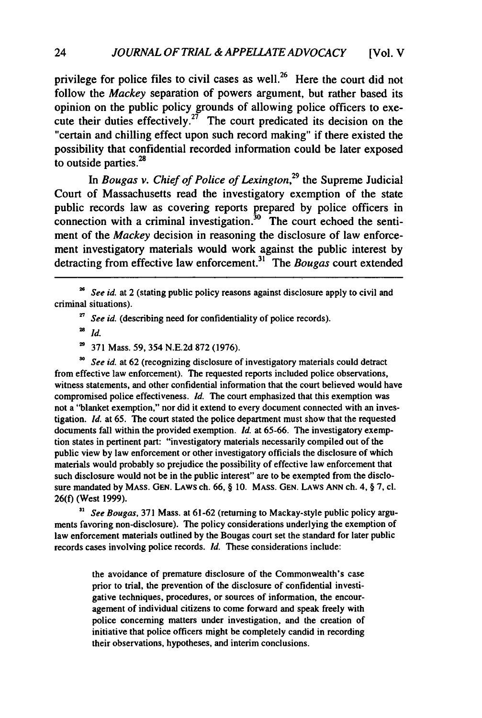privilege for police files to civil cases as well.<sup>26</sup> Here the court did not follow the *Mackey* separation of powers argument, but rather based its opinion on the public policy grounds of allowing police officers to execute their duties effectively.<sup>27</sup> The court predicated its decision on the "certain and chilling effect upon such record making" if there existed the possibility that confidential recorded information could be later exposed to outside parties.<sup>28</sup>

In *Bougas v. Chief of Police of Lexington,<sup>29</sup>*the Supreme Judicial Court of Massachusetts read the investigatory exemption of the state public records law as covering reports prepared by police officers in connection with a criminal investigation. ${}^{30}$  The court echoed the sentiment of the *Mackey* decision in reasoning the disclosure of law enforcement investigatory materials would work against the public interest by detracting from effective law enforcement.<sup>31</sup> The *Bougas* court extended

**28** *Id.*

371 Mass. 59, 354 N.E.2d 872 (1976).

**<sup>30</sup>***See id.* at 62 (recognizing disclosure of investigatory materials could detract from effective law enforcement). The requested reports included police observations, witness statements, and other confidential information that the court believed would have compromised police effectiveness. *Id.* The court emphasized that this exemption was not a "blanket exemption," nor did it extend to every document connected with an investigation. *Id.* at 65. The court stated the police department must show that the requested documents fall within the provided exemption. *Id.* at 65-66. The investigatory exemption states in pertinent part: "investigatory materials necessarily compiled out of the public view by law enforcement or other investigatory officials the disclosure of which materials would probably so prejudice the possibility of effective law enforcement that such disclosure would not be in the public interest" are to be exempted from the disclosure mandated by MASS. **GEN.** LAWS ch. 66, § 10. MASS. **GEN.** LAWS **ANN** ch. 4, § 7, cl. 26(f) (West 1999).

*31 See Bougas,* 371 Mass. at 61-62 (returning to Mackay-style public policy arguments favoring non-disclosure). The policy considerations underlying the exemption of law enforcement materials outlined by the Bougas court set the standard for later public records cases involving police records. *Id.* These considerations include:

> the avoidance of premature disclosure of the Commonwealth's case prior to trial, the prevention of the disclosure of confidential investigative techniques, procedures, or sources of information, the encouragement of individual citizens to come forward and speak freely with police concerning matters under investigation, and the creation of initiative that police officers might be completely candid in recording their observations, hypotheses, and interim conclusions.

*See id.* at 2 (stating public policy reasons against disclosure apply to civil and criminal situations).

<sup>&</sup>lt;sup>27</sup> See id. (describing need for confidentiality of police records).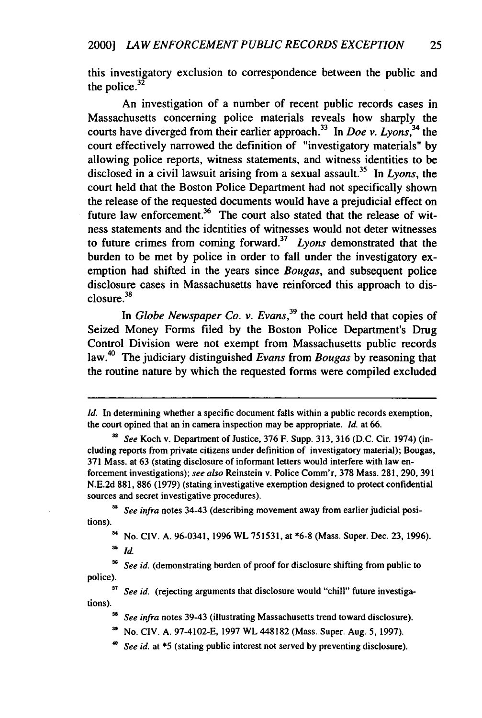this investigatory exclusion to correspondence between the public and the police. $32$ 

An investigation of a number of recent public records cases in Massachusetts concerning police materials reveals how sharply the courts have diverged from their earlier approach.33 In *Doe v. Lyons,34* the court effectively narrowed the definition of "investigatory materials" by allowing police reports, witness statements, and witness identities to be disclosed in a civil lawsuit arising from a sexual assault.<sup>35</sup> In *Lyons*, the court held that the Boston Police Department had not specifically shown the release of the requested documents would have a prejudicial effect on future law enforcement.<sup>36</sup> The court also stated that the release of witness statements and the identities of witnesses would not deter witnesses to future crimes from coming forward.37 *Lyons* demonstrated that the burden to be met by police in order to fall under the investigatory exemption had shifted in the years since *Bougas,* and subsequent police disclosure cases in Massachusetts have reinforced this approach to disclosure.<sup>38</sup>

In *Globe Newspaper Co. v. Evans,<sup>39</sup>*the court held that copies of Seized Money Forms filed by the Boston Police Department's Drug Control Division were not exempt from Massachusetts public records law.4 The judiciary distinguished *Evans* from *Bougas* by reasoning that the routine nature by which the requested forms were compiled excluded

**'3** *See infra* notes 34-43 (describing movement away from earlier judicial positions).

<sup>34</sup> No. CIV. A. 96-0341, 1996 WL 751531, at \*6-8 (Mass. Super. Dec. 23, 1996). *as Id.*

36 *See id.* (demonstrating burden of proof for disclosure shifting from public to police).

<sup>37</sup> *See id.* (rejecting arguments that disclosure would "chill" future investigations).

**.** *See infra* notes 39-43 (illustrating Massachusetts trend toward disclosure).

No. CIV. A. 97-4102-E, 1997 WL 448182 (Mass. Super. Aug. 5, 1997).

*See id.* at \*5 (stating public interest not served by preventing disclosure).

*Id.* In determining whether a specific document falls within a public records exemption, the court opined that an in camera inspection may be appropriate. *Id.* at **66.**

**<sup>32</sup>** *See* Koch v. Department of Justice, 376 F. Supp. 313, 316 (D.C. Cir. 1974) (including reports from private citizens under definition of investigatory material); Bougas, 371 Mass. at 63 (stating disclosure of informant letters would interfere with law enforcement investigations); *see also* Reinstein v. Police Comm'r, 378 Mass. 281, 290, 391 N.E.2d 881, 886 (1979) (stating investigative exemption designed to protect confidential sources and secret investigative procedures).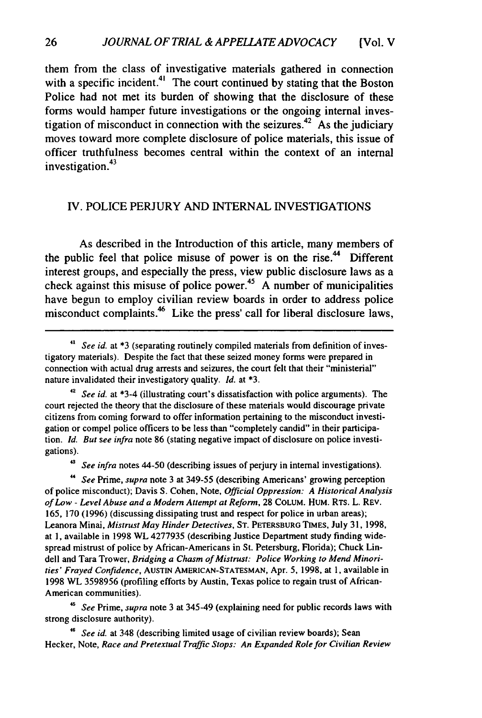them from the class of investigative materials gathered in connection with a specific incident.<sup>41</sup> The court continued by stating that the Boston Police had not met its burden of showing that the disclosure of these forms would hamper future investigations or the ongoing internal investigation of misconduct in connection with the seizures.<sup>42</sup> As the judiciary moves toward more complete disclosure of police materials, this issue of officer truthfulness becomes central within the context of an internal investigation. $43$ 

#### IV. POLICE PERJURY AND INTERNAL INVESTIGATIONS

As described in the Introduction of this article, many members of the public feel that police misuse of power is on the rise.<sup>44</sup> Different interest groups, and especially the press, view public disclosure laws as a check against this misuse of police power.<sup>45</sup> A number of municipalities have begun to employ civilian review boards in order to address police misconduct complaints.46 Like the press' call for liberal disclosure laws,

*<sup>43</sup>See infra* notes 44-50 (describing issues of perjury in internal investigations).

**"** *See* Prime, *supra* note 3 at 349-55 (describing Americans' growing perception of police misconduct); Davis S. Cohen, Note, *Official Oppression: A Historical Analysis of Low* - Level Abuse *and a Modem Attempt at Reform,* 28 COLUM. HUM. RTS. L. REV. 165, 170 (1996) (discussing dissipating trust and respect for police in urban areas); Leanora Minai, Mistrust *May Hinder Detectives,* ST. PETERSBURG TIMES, July 31, 1998, at **1,** available in 1998 WL 4277935 (describing Justice Department study finding widespread mistrust of police by African-Americans in St. Petersburg, Florida); Chuck Lindell and Tara Trower, Bridging a Chasm *of Mistrust: Police Working to Mend Minorities'* Frayed Confidence, AUSTIN AMERICAN-STATESMAN, Apr. 5, 1998, at **1,** available in 1998 WL 3598956 (profiling efforts by Austin, Texas police to regain trust of African-American communities).

*See* Prime, *supra* note 3 at 345-49 (explaining need for public records laws with strong disclosure authority).

See *id.* at 348 (describing limited usage of civilian review boards); Sean Hecker, Note, Race and Pretextual Traffic Stops: An Expanded Role for Civilian Review

<sup>&</sup>lt;sup>41</sup> *See id.* at \*3 (separating routinely compiled materials from definition of investigatory materials). Despite the fact that these seized money forms were prepared in connection with actual drug arrests and seizures, the court felt that their "ministerial" nature invalidated their investigatory quality. *Id.* at **\*3.**

*<sup>42</sup> See id.* at \*3-4 (illustrating court's dissatisfaction with police arguments). The court rejected the theory that the disclosure of these materials would discourage private citizens from coming forward to offer information pertaining to the misconduct investigation or compel police officers to be less than "completely candid" in their participation. *Id. But see infra* note 86 (stating negative impact of disclosure on police investigations).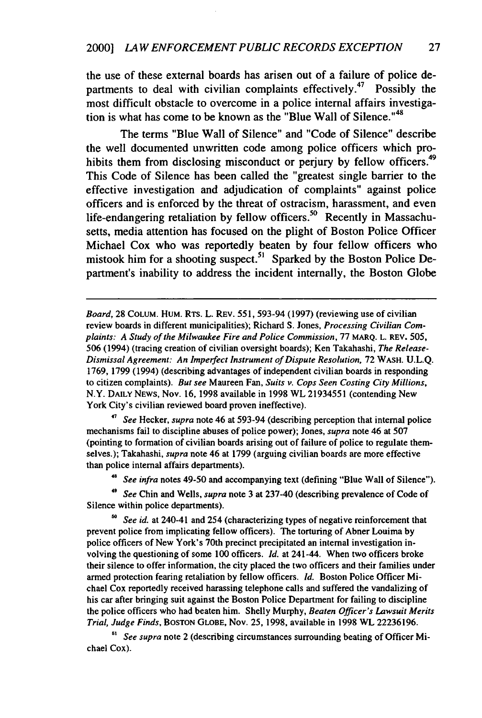the use of these external boards has arisen out of a failure of police departments to deal with civilian complaints effectively.<sup>47</sup> Possibly the most difficult obstacle to overcome in a police internal affairs investigation is what has come to be known as the "Blue Wall of Silence."<sup>48</sup>

The terms "Blue Wall of Silence" and "Code of Silence" describe the well documented unwritten code among police officers which prohibits them from disclosing misconduct or perjury by fellow officers.<sup>49</sup> This Code of Silence has been called the "greatest single barrier to the effective investigation and adjudication of complaints" against police officers and is enforced by the threat of ostracism, harassment, and even life-endangering retaliation by fellow officers.<sup>50</sup> Recently in Massachusetts, media attention has focused on the plight of Boston Police Officer Michael Cox who was reportedly beaten by four fellow officers who mistook him for a shooting suspect.<sup>51</sup> Sparked by the Boston Police Department's inability to address the incident internally, the Boston Globe

Board, 28 CoLUM. HUM. RTs. L. REV. 551, 593-94 (1997) (reviewing use of civilian review boards in different municipalities); Richard S. Jones, *Processing Civilian Complaints: A Study of the Milwaukee Fire and Police Commission,* 77 **MARQ.** L. REV. **505,** 506 (1994) (tracing creation of civilian oversight boards); Ken Takahashi, *The Release-Dismissal Agreement: An Imperfect Instrument of Dispute Resolution,* 72 **WASH.** U.L.Q. 1769, 1799 (1994) (describing advantages of independent civilian boards in responding to citizen complaints). *But see* Maureen Fan, *Suits v. Cops Seen Costing City Millions,* N.Y. **DAILY NEWS,** Nov. 16, 1998 available in 1998 WL 21934551 (contending New York City's civilian reviewed board proven ineffective).

**'7** *See* Hecker, *supra* note 46 at 593-94 (describing perception that internal police mechanisms fail to discipline abuses of police power); Jones, *supra* note 46 at 507 (pointing to formation of civilian boards arising out of failure of police to regulate themselves.); Takahashi, *supra* note 46 at 1799 (arguing civilian boards are more effective than police internal affairs departments).

<sup>48</sup>*See infra* notes 49-50 and accompanying text (defining "Blue Wall of Silence").

*'9 See* Chin and Wells, *supra* note 3 at 237-40 (describing prevalence of Code of Silence within police departments).

**so** *See id.* at 240-41 and 254 (characterizing types of negative reinforcement that prevent police from implicating fellow officers). The torturing of Abner Louima by police officers of New York's 70th precinct precipitated an internal investigation involving the questioning of some 100 officers. *Id.* at 241-44. When two officers broke their silence to offer information, the city placed the two officers and their families under armed protection fearing retaliation by fellow officers. *Id.* Boston Police Officer Michael Cox reportedly received harassing telephone calls and suffered the vandalizing of his car after bringing suit against the Boston Police Department for failing to discipline the police officers who had beaten him. Shelly Murphy, *Beaten Officer's Lawsuit Merits Trial, Judge Finds,* **BOSTON GLOBE,** Nov. 25, 1998, available in 1998 WL 22236196.

**5'** *See supra* note 2 (describing circumstances surrounding beating of Officer Michael Cox).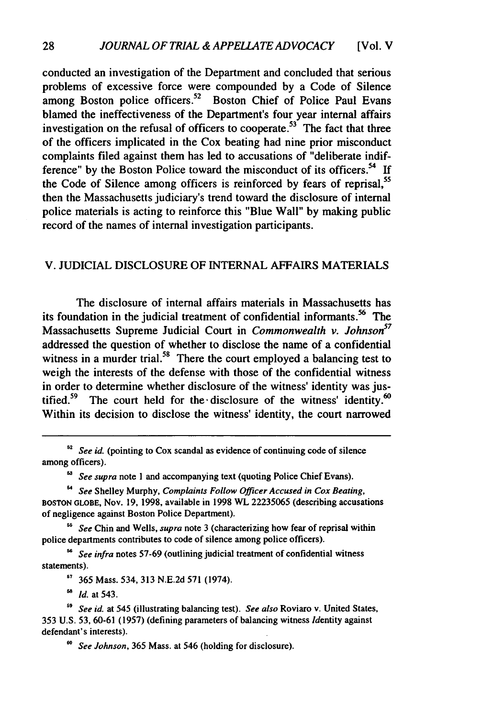conducted an investigation of the Department and concluded that serious problems of excessive force were compounded by a Code of Silence among Boston police officers.<sup>52</sup> Boston Chief of Police Paul Evans blamed the ineffectiveness of the Department's four year internal affairs investigation on the refusal of officers to cooperate.<sup>53</sup> The fact that three of the officers implicated in the Cox beating had nine prior misconduct complaints filed against them has led to accusations of "deliberate indifference" by the Boston Police toward the misconduct of its officers.<sup>54</sup> If the Code of Silence among officers is reinforced by fears of reprisal,<sup>55</sup> then the Massachusetts judiciary's trend toward the disclosure of internal police materials is acting to reinforce this "Blue Wall" by making public record of the names of internal investigation participants.

#### V. JUDICIAL DISCLOSURE OF INTERNAL AFFAIRS MATERIALS

The disclosure of internal affairs materials in Massachusetts has its foundation in the judicial treatment of confidential informants.<sup>56</sup> The Massachusetts Supreme Judicial Court in *Commonwealth v. Johnson*<sup>57</sup> addressed the question of whether to disclose the name of a confidential witness in a murder trial.<sup>58</sup> There the court employed a balancing test to weigh the interests of the defense with those of the confidential witness in order to determine whether disclosure of the witness' identity was justified.<sup>59</sup> The court held for the disclosure of the witness' identity.<sup>60</sup> Within its decision to disclose the witness' identity, the court narrowed

<sup>63</sup> *See supra* note 1 and accompanying text (quoting Police Chief Evans).

*See* Shelley Murphy, *Complaints Follow Officer Accused in Cox Beating,* **BOSTON GLOBE,** Nov. 19, 1998, available in 1998 WL 22235065 (describing accusations of negligence against Boston Police Department).

<sup>55</sup> See Chin and Wells, *supra* note 3 (characterizing how fear of reprisal within police departments contributes to code of silence among police officers).

*See infra* notes 57-69 (outlining judicial treatment of confidential witness statements).

**<sup>67</sup>**365 Mass. 534, 313 N.E.2d 571 (1974).

*" Id.* at 543.

*9 See id.* at 545 (illustrating balancing test). *See also* Roviaro v. United States, 353 U.S. 53, 60-61 (1957) (defining parameters of balancing witness Identity against defendant's interests).

*6o See Johnson,* 365 Mass. at 546 (holding for disclosure).

<sup>&</sup>lt;sup>52</sup> *See id.* (pointing to Cox scandal as evidence of continuing code of silence among officers).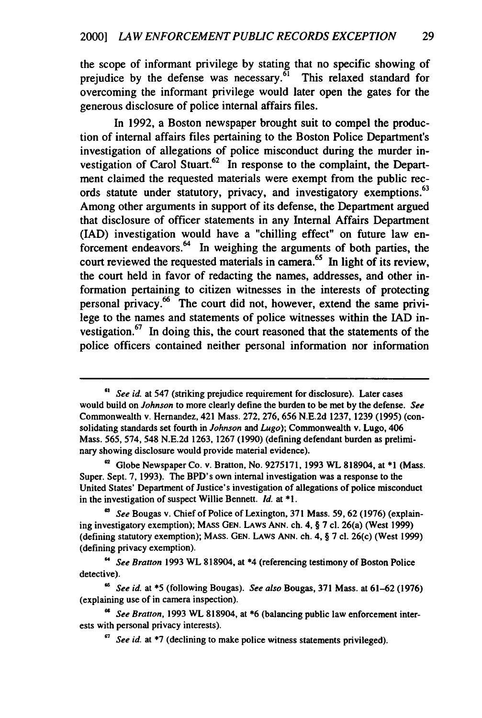the scope of informant privilege by stating that no specific showing of prejudice by the defense was necessary.<sup>61</sup> This relaxed standard for overcoming the informant privilege would later open the gates for the generous disclosure of police internal affairs files.

In 1992, a Boston newspaper brought suit to compel the production of internal affairs files pertaining to the Boston Police Department's investigation of allegations of police misconduct during the murder investigation of Carol Stuart.<sup>62</sup> In response to the complaint, the Department claimed the requested materials were exempt from the public records statute under statutory, privacy, and investigatory exemptions.<sup>63</sup> Among other arguments in support of its defense, the Department argued that disclosure of officer statements in any Internal Affairs Department **(IAD)** investigation would have a "chilling effect" on future law enforcement endeavors.<sup>64</sup> In weighing the arguments of both parties, the court reviewed the requested materials in camera.<sup>65</sup> In light of its review, the court held in favor of redacting the names, addresses, and other information pertaining to citizen witnesses in the interests of protecting personal privacy.66 The court did not, however, extend the same privilege to the names and statements of police witnesses within the **lAD** investigation.<sup>67</sup> In doing this, the court reasoned that the statements of the police officers contained neither personal information nor information

**<sup>0&</sup>quot;** *See id.* at 547 (striking prejudice requirement for disclosure). Later cases would build on *Johnson* to more clearly define the burden to be met **by** the defense. *See* Commonwealth v. Hernandez, 421 Mass. **272, 276, 656 N.E.2d 1237, 1239 (1995)** (consolidating standards set fourth in *Johnson and Lugo);* Commonwealth v. Lugo, 406 Mass. **565,** 574, 548 **N.E.2d 1263, 1267 (1990)** (defining defendant burden as preliminary showing disclosure would provide material evidence).

<sup>&#</sup>x27;2 Globe Newspaper Co. v. Bratton, No. **9275171, 1993** WL **818904,** at **\*1** (Mass. Super. Sept. **7, 1993).** The BPD's own internal investigation was a response to the United States' Department of Justice's investigation of allegations of police misconduct in the investigation of suspect Willie Bennett. *id.* at **\*1.**

*<sup>&#</sup>x27; See* Bougas v. Chief of Police of Lexington, **371** Mass. **59, 62 (1976)** (explaining investigatory exemption); **MASS GEN. LAWS ANN.** ch. 4, § **7 cl.** 26(a) (West **1999)** (defining statutory exemption); **MASS. GEN.** LAws **ANN.** ch. 4, § **7 cl.** 26(c) (West **1999)** (defining privacy exemption).

**<sup>64</sup>***See Bratton* **1993** WL **818904,** at \*4 (referencing testimony of Boston Police detective).

*<sup>&</sup>quot; See id.* at **\*5** (following Bougas). *See also* Bougas, **371** Mass. at **61-62 (1976)** (explaining use of in camera inspection).

**<sup>&</sup>quot;** *See Bratton,* **1993** WL **818904,** at **\*6** (balancing public law enforcement interests with personal privacy interests).

*<sup>&#</sup>x27;7 See id.* at **\*7** (declining to make police witness statements privileged).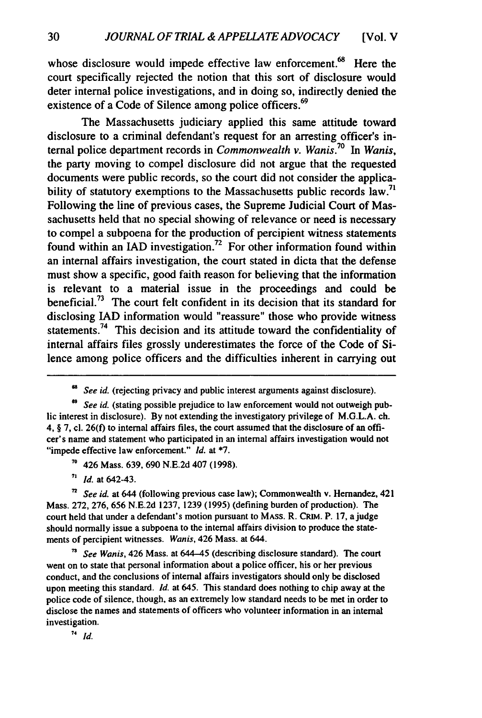whose disclosure would impede effective law enforcement.<sup>68</sup> Here the court specifically rejected the notion that this sort of disclosure would deter internal police investigations, and in doing so, indirectly denied the existence of a Code of Silence among police officers.<sup>69</sup>

The Massachusetts judiciary applied this same attitude toward disclosure to a criminal defendant's request for an arresting officer's internal police department records in *Commonwealth v. WaniS.<sup>70</sup>In Wanis,* the party moving to compel disclosure did not argue that the requested documents were public records, so the court did not consider the applicability of statutory exemptions to the Massachusetts public records law.<sup>71</sup> Following the line of previous cases, the Supreme Judicial Court of Massachusetts held that no special showing of relevance or need is necessary to compel a subpoena for the production of percipient witness statements **6** found within an IAD investigation.<sup>72</sup> For other information found within an internal affairs investigation, the court stated in dicta that the defense must show a specific, good faith reason for believing that the information is relevant to a material issue in the proceedings and could be beneficial.73 The court felt confident in its decision that its standard for disclosing IAD information would "reassure" those who provide witness statements.<sup>74</sup> This decision and its attitude toward the confidentiality of internal affairs files grossly underestimates the force of the Code of Silence among police officers and the difficulties inherent in carrying out

<sup>&</sup>lt;sup>68</sup> See id. (rejecting privacy and public interest arguments against disclosure).

<sup>&</sup>lt;sup>69</sup> See *id.* (stating possible prejudice to law enforcement would not outweigh public interest in disclosure). By not extending the investigatory privilege of M.G.L.A. ch. 4, § 7, cl. 26(f) to internal affairs files, the court assumed that the disclosure of an officer's name and statement who participated in an internal affairs investigation would not "impede effective law enforcement." *Id.* at **\*7.**

**<sup>70</sup>**426 Mass. 639, 690 N.E.2d 407 (1998).

**<sup>71</sup>***Id.* at 642-43.

**<sup>7</sup>***See id.* at 644 (following previous case law); Commonwealth v. Hernandez, 421 Mass. 272, 276, 656 N.E.2d 1237, 1239 (1995) (defining burden of production). The court held that under a defendant's motion pursuant to **MASS.** R. CRIM. P. 17, a judge should normally issue a subpoena to the internal affairs division to produce the statements of percipient witnesses. *Wanis,* 426 Mass. at 644.

*See Wanis,* 426 Mass. at 644-45 (describing disclosure standard). The court went on to state that personal information about a police officer, his or her previous conduct, and the conclusions of internal affairs investigators should only be disclosed upon meeting this standard. *Id.* at 645. This standard does nothing to chip away at the police code of silence, though, as an extremely low standard needs to be met in order to disclose the names and statements of officers who volunteer information in an internal investigation.

 $74$  *Id.*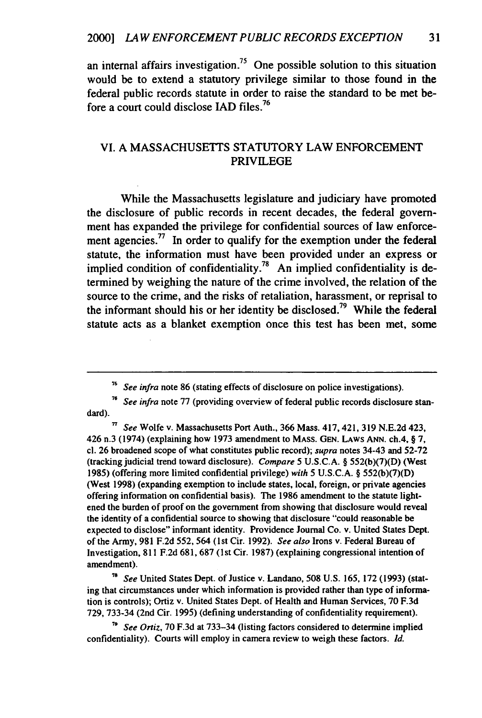an internal affairs investigation.<sup>75</sup> One possible solution to this situation would be to extend a statutory privilege similar to those found in the federal public records statute in order to raise the standard to be met before a court could disclose IAD files.<sup>76</sup>

#### VI. A MASSACHUSETTS STATUTORY LAW ENFORCEMENT PRIVILEGE

While the Massachusetts legislature and judiciary have promoted the disclosure of public records in recent decades, the federal government has expanded the privilege for confidential sources of law enforcement agencies.<sup>77</sup> In order to qualify for the exemption under the federal statute, the information must have been provided under an express or implied condition of confidentiality.<sup>78</sup> An implied confidentiality is determined by weighing the nature of the crime involved, the relation of the source to the crime, and the risks of retaliation, harassment, or reprisal to the informant should his or her identity be disclosed.<sup>79</sup> While the federal statute acts as a blanket exemption once this test has been met, some

**,** *See* Wolfe v. Massachusetts Port Auth., **366** Mass. 417,421, **319 N.E.2d** 423, 426 n.3 (1974) (explaining how **1973** amendment to **MASS. GEN. LAWS ANN.** ch.4, § **7, cl. 26** broadened scope of what constitutes public record); *supra* notes 34-43 and **52-72** (tracking judicial trend toward disclosure). *Compare* **5** U.S.C.A. § **552(b)(7)(D)** (West **1985)** (offering more limited confidential privilege) *with* **5 U.S.C.A.** § **552(b)(7)(D)** (West **1998)** (expanding exemption to include states, local, foreign, or private agencies offering information on confidential basis). **The 1986** amendment to the statute lightened the burden of proof on the government from showing that disclosure would reveal the identity of a confidential source to showing that disclosure "could reasonable be expected to disclose" informant identity. Providence Journal Co. v. United States Dept. of the Army, **981 F.2d 552,** 564 **(1st** Cir. **1992).** *See also* Irons v. Federal Bureau of Investigation, **811 F.2d 681, 687 (1** st Cir. **1987)** (explaining congressional intention of amendment).

**78** *See* United States Dept. of Justice v. Landano, **508 U.S. 165, 172 (1993)** (stating that circumstances under which information is provided rather than type of information is controls); Ortiz v. United States Dept. of Health and Human Services, **70 F.3d 729, 733-34** (2nd Cir. **1995)** (defining understanding of confidentiality requirement).

*<sup>71</sup>See Ortiz,* **70 F.3d** at **733-34** (listing factors considered to determine implied confidentiality). Courts will employ in camera review to weigh these factors. *Id.*

*<sup>75</sup> See infra* note 86 (stating effects of disclosure on police investigations).

**<sup>76</sup>** *See infra* note 77 (providing overview of federal public records disclosure standard).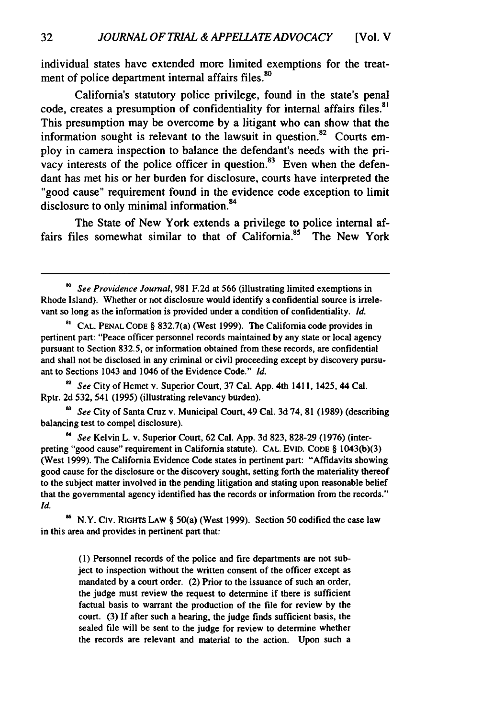individual states have extended more limited exemptions for the treatment of police department internal affairs files.<sup>80</sup>

California's statutory police privilege, found in the state's penal code, creates a presumption of confidentiality for internal affairs files.<sup>81</sup> This presumption may be overcome **by** a litigant who can show that the information sought is relevant to the lawsuit in question.<sup>82</sup> Courts employ in camera inspection to balance the defendant's needs with the privacy interests of the police officer in question. $83$  Even when the defendant has met his or her burden for disclosure, courts have interpreted the "good cause" requirement found in the evidence code exception to limit disclosure to only minimal information.<sup>84</sup>

The State of New York extends a privilege to police internal affairs files somewhat similar to that of California.<sup>85</sup> The New York

*See* City of Hemet v. Superior Court, **37** Cal. **App.** 4th 1411, 1425, 44 Cal. Rptr. 2d 532, 541 (1995) (illustrating relevancy burden).

*'3 See* City of Santa Cruz v. Municipal Court, 49 Cal. 3d 74, **81** (1989) (describing balancing test to compel disclosure).

*" See* Kelvin L. v. Superior Court, 62 Cal. App. 3d 823, 828-29 (1976) (interpreting "good cause" requirement in California statute). CAL. EviD. CODE § 1043(b)(3) (West 1999). The California Evidence Code states in pertinent part: "Affidavits showing good cause for the disclosure or the discovery sought, setting forth the materiality thereof to the subject matter involved in the pending litigation and stating upon reasonable belief that the governmental agency identified has the records or information from the records." *Id.*

<sup>86</sup> N.Y. CIV. RIGHTS LAW § 50(a) (West 1999). Section 50 codified the case law in this area and provides in pertinent part that:

> (1) Personnel records of the police and fire departments are not subject to inspection without the written consent of the officer except as mandated by a court order. (2) Prior to the issuance of such an order, the judge must review the request to determine if there is sufficient factual basis to warrant the production of the file for review **by** the court. **(3)** If after such a hearing, the judge finds sufficient basis, the sealed file will be sent to the judge for review to determine whether the records are relevant and material to the action. Upon such a

*See Providence Journal,* **981** F.2d at 566 (illustrating limited exemptions in Rhode Island). Whether or not disclosure would identify a confidential source is irrelevant so long as the information is provided under a condition of confidentiality. *Id.*

**<sup>8</sup>a CAL. PENAL CODE** § 832.7(a) (West 1999). The California code provides in pertinent part: "Peace officer personnel records maintained **by** any state or local agency pursuant to Section 832.5, or information obtained from these records, are confidential and shall not be disclosed in any criminal or civil proceeding except **by** discovery pursuant to Sections 1043 and 1046 of the Evidence Code." *Id.*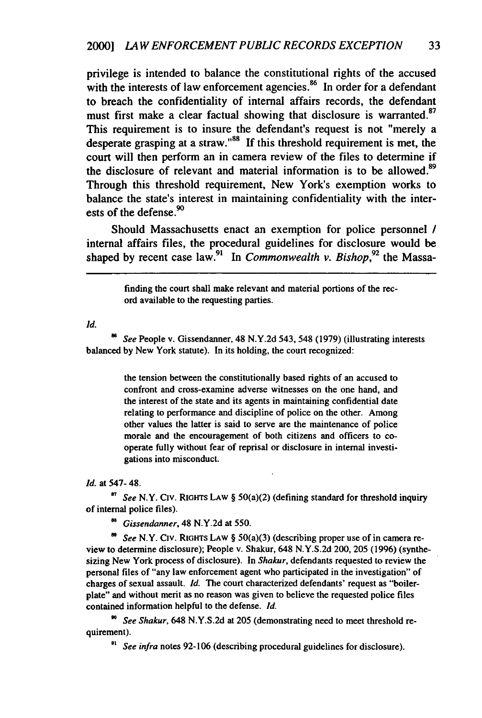privilege is intended to balance the constitutional rights of the accused with the interests of law enforcement agencies. $86$  In order for a defendant to breach the confidentiality of internal affairs records, the defendant must first make a clear factual showing that disclosure is warranted.<sup>87</sup> This requirement is to insure the defendant's request is not "merely a desperate grasping at a straw." $88$  If this threshold requirement is met, the court will then perform an in camera review of the files to determine if the disclosure of relevant and material information is to be allowed.<sup>89</sup> Through this threshold requirement, New York's exemption works to balance the state's interest in maintaining confidentiality with the interests of the defense.<sup>90</sup>

Should Massachusetts enact an exemption for police personnel *I* internal affairs files, the procedural guidelines for disclosure would be shaped by recent case law.<sup>91</sup> In *Commonwealth v. Bishop*,<sup>92</sup> the Massa-

> finding the court shall make relevant and material portions of the record available to the requesting parties.

*Id.*

*See* People v. Gissendanner, 48 N.Y.2d 543, 548 (1979) (illustrating interests balanced by New York statute). In its holding, the court recognized:

> the tension between the constitutionally based rights of an accused to confront and cross-examine adverse witnesses on the one hand, and the interest of the state and its agents in maintaining confidential date relating to performance and discipline of police on the other. Among other values the latter is said to serve are the maintenance of police morale and the encouragement of both citizens and officers to cooperate fully without fear of reprisal or disclosure in internal investigations into misconduct.

#### *Id.* at 547- 48.

**<sup>87</sup>***See* N.Y. Civ. RIGHTS LAW § 50(a)(2) (defining standard for threshold inquiry of internal police files).

*Gissendanner,* 48 N.Y.2d at 550.

*See* N.Y. Civ. **RIGHTS** LAW § 50(a)(3) (describing proper use of in camera review to determine disclosure); People v. Shakur, 648 N.Y.S.2d 200, 205 (1996) (synthesizing New York process of disclosure). In *Shakur,* defendants requested to review the personal files of "any law enforcement agent who participated in the investigation" of charges of sexual assault. *Id.* The court characterized defendants' request as "boilerplate" and without merit as no reason was given to believe the requested police files contained information helpful to the defense. *Id.*

*" See Shakur,* 648 N.Y.S.2d at 205 (demonstrating need to meet threshold requirement).

*9' See infra* notes 92-106 (describing procedural guidelines for disclosure).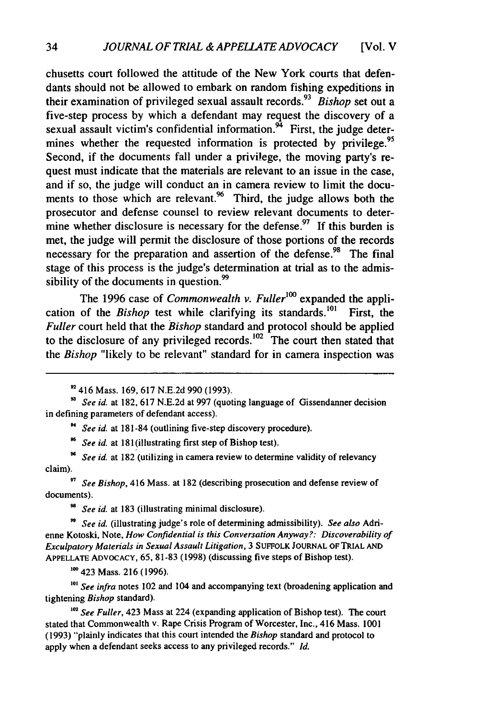chusetts court followed the attitude of the New York courts that defendants should not be allowed to embark on random fishing expeditions in their examination of privileged sexual assault records.<sup>93</sup> Bishop set out a five-step process by which a defendant may request the discovery of a sexual assault victim's confidential information.<sup>94</sup> First, the judge determines whether the requested information is protected by privilege.<sup>95</sup> Second, if the documents fall under a privilege, the moving party's request must indicate that the materials are relevant to an issue in the case, and if so, the judge will conduct an in camera review to limit the documents to those which are relevant. $96$  Third, the judge allows both the prosecutor and defense counsel to review relevant documents to determine whether disclosure is necessary for the defense.<sup>97</sup> If this burden is met, the judge will permit the disclosure of those portions of the records necessary for the preparation and assertion of the defense.<sup>98</sup> The final stage of this process is the judge's determination at trial as to the admissibility of the documents in question.<sup>99</sup>

The 1996 case of *Commonwealth v. Fuller*<sup>100</sup> expanded the application of the *Bishop* test while clarifying its standards.<sup>101</sup> First, the *Fuller* court held that the *Bishop* standard and protocol should be applied to the disclosure of any privileged records.<sup>102</sup> The court then stated that the *Bishop* "likely to be relevant" standard for in camera inspection was

*See id.* at 181-84 (outlining five-step discovery procedure).

<sup>95</sup> See id. at 181(illustrating first step of Bishop test).

**9** *See id.* at 182 (utilizing in camera review to determine validity of relevancy claim).

*<sup>97</sup>See Bishop,* 416 Mass. at 182 (describing prosecution and defense review of documents).

*<sup>98</sup>See id.* at 183 (illustrating minimal disclosure).

*" See id.* (illustrating judge's role of determining admissibility). *See also* Adrienne Kotoski, Note, *How Confidential is this Conversation Anyway?: Discoverability of Exculpatory Materials in Sexual Assault Litigation,* 3 SUFFOLK **JOURNAL** OF TRIAL **AND APPELLATE ADVOCACY,** 65, 81-83 (1998) (discussing five steps of Bishop test).

**'00** 423 Mass. 216 (1996).

<sup>101</sup> See infra notes 102 and 104 and accompanying text (broadening application and tightening *Bishop* standard).

*'02 See Fuller,* 423 Mass at 224 (expanding application of Bishop test). The court stated that Commonwealth v. Rape Crisis Program of Worcester, Inc., 416 Mass. 1001 (1993) "plainly indicates that this court intended the *Bishop* standard and protocol to apply when a defendant seeks access to any privileged records." *Id.*

<sup>&</sup>lt;sup>92</sup> 416 Mass. 169, 617 N.E.2d 990 (1993).

*See id.* at 182, 617 N.E.2d at 997 (quoting language of Gissendanner decision in defining parameters of defendant access).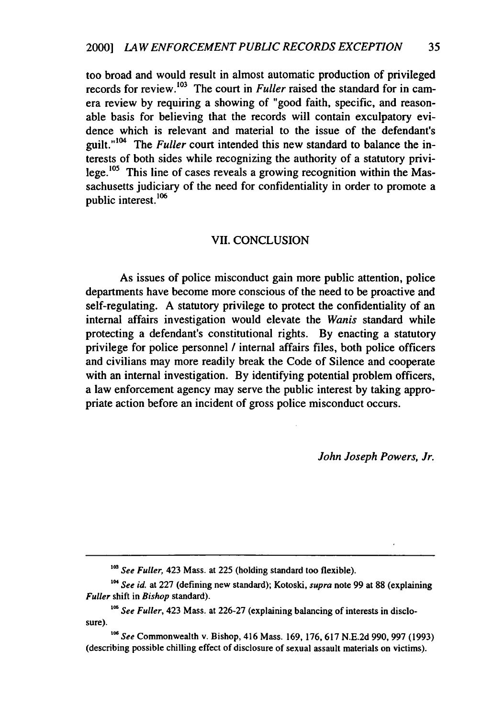too broad and would result in almost automatic production of privileged records for review.<sup>103</sup> The court in *Fuller* raised the standard for in camera review by requiring a showing of "good faith, specific, and reasonable basis for believing that the records will contain exculpatory evidence which is relevant and material to the issue of the defendant's guilt."<sup>104</sup> The *Fuller* court intended this new standard to balance the interests of both sides while recognizing the authority of a statutory privilege.<sup>105</sup> This line of cases reveals a growing recognition within the Massachusetts judiciary of the need for confidentiality in order to promote a public interest.<sup>106</sup>

#### VII. CONCLUSION

As issues of police misconduct gain more public attention, police departments have become more conscious of the need to be proactive and self-regulating. A statutory privilege to protect the confidentiality of an internal affairs investigation would elevate the *Wanis* standard while protecting a defendant's constitutional rights. By enacting a statutory privilege for police personnel **/** internal affairs files, both police officers and civilians may more readily break the Code of Silence and cooperate with an internal investigation. By identifying potential problem officers, a law enforcement agency may serve the public interest by taking appropriate action before an incident of gross police misconduct occurs.

*John Joseph Powers, Jr.*

<sup>&</sup>lt;sup>103</sup> See Fuller, 423 Mass. at 225 (holding standard too flexible).

**<sup>&#</sup>x27;" See** id. at 227 (defining new standard); Kotoski, *supra* note 99 at 88 (explaining *Fuller* shift in Bishop standard).

**<sup>06</sup>** *See* Fuller, 423 Mass. at 226-27 (explaining balancing of interests in disclosure).

**<sup>106</sup>See** Commonwealth v. Bishop, 416 Mass. **169,** 176, **617** N.E.2d 990, 997 (1993) (describing possible chilling effect of disclosure of sexual assault materials on victims).